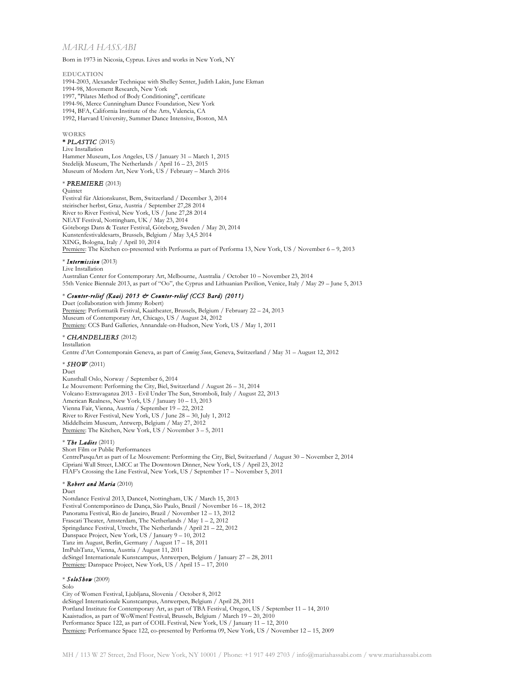# *MARIA HASSABI*

Born in 1973 in Nicosia, Cyprus. Lives and works in New York, NY

#### **EDUCATION**

1994-2003, Alexander Technique with Shelley Senter, Judith Lakin, June Ekman 1994-98, Movement Research, New York 1997, "Pilates Method of Body Conditioning", certificate 1994-96, Merce Cunningham Dance Foundation, New York 1994, BFA, California Institute of the Arts, Valencia, CA 1992, Harvard University, Summer Dance Intensive, Boston, MA

### **WORKS**

#### **\*** *PLASTIC* (2015)

### Live Installation

Hammer Museum, Los Angeles, US / January 31 – March 1, 2015 Stedelijk Museum, The Netherlands / April 16 – 23, 2015 Museum of Modern Art, New York, US / February – March 2016

## \* *PREMIERE* (2013)

Quintet

Festival für Aktionskunst, Bern, Switzerland / December 3, 2014 steirischer herbst, Graz, Austria / September 27,28 2014 River to River Festival, New York, US / June 27,28 2014 NEAT Festival, Nottingham, UK / May 23, 2014 Göteborgs Dans & Teater Festival, Göteborg, Sweden / May 20, 2014 Kunstenfestivaldesarts, Brussels, Belgium / May 3,4,5 2014 XING, Bologna, Italy / April 10, 2014 Premiere: The Kitchen co-presented with Performa as part of Performa 13, New York, US / November 6 – 9, 2013

#### \* *Intermission* (2013)

Live Installation

Australian Center for Contemporary Art, Melbourne, Australia / October 10 – November 23, 2014 55th Venice Biennale 2013, as part of "Oo", the Cyprus and Lithuanian Pavilion, Venice, Italy / May 29 – June 5, 2013

## \* *Counter-relief (Kaai) 2013 & Counter-relief (CCS Bard) (2011)*

Duet (collaboration with Jimmy Robert) Premiere: Performatik Festival, Kaaitheater, Brussels, Belgium / February 22 – 24, 2013 Museum of Contemporary Art, Chicago, US / August 24, 2012 Premiere: CCS Bard Galleries, Annandale-on-Hudson, New York, US / May 1, 2011

### \* *CHANDELIERS* (2012)

#### Installation

Centre d'Art Contemporain Geneva, as part of *Coming Soon*, Geneva, Switzerland / May 31 – August 12, 2012

## \* *SHOW* (2011)

### Duet

Kunsthall Oslo, Norway / September 6, 2014 Le Mouvement: Performing the City, Biel, Switzerland / August 26 – 31, 2014 Volcano Extravaganza 2013 - Evil Under The Sun, Stromboli, Italy / August 22, 2013 American Realness, New York, US / January 10 – 13, 2013 Vienna Fair, Vienna, Austria / September 19 – 22, 2012 River to River Festival, New York, US / June 28 – 30, July 1, 2012 Middelheim Museum, Antwerp, Belgium / May 27, 2012 Premiere: The Kitchen, New York, US / November 3 - 5, 2011

## \* *The Ladies* (2011)

Short Film or Public Performances CentrePasquArt as part of Le Mouvement: Performing the City, Biel, Switzerland / August 30 – November 2, 2014 Cipriani Wall Street, LMCC at The Downtown Dinner, New York, US / April 23, 2012 FIAF's Crossing the Line Festival, New York, US / September 17 – November 5, 2011

#### \* *Robert and Maria* (2010)

Duet

Nottdance Festival 2013, Dance4, Nottingham, UK / March 15, 2013 Festival Contemporâneo de Dança, São Paulo, Brazil / November 16 – 18, 2012 Panorama Festival, Rio de Janeiro, Brazil / November 12 – 13, 2012 Frascati Theater, Amsterdam, The Netherlands / May 1 – 2, 2012 Springdance Festival, Utrecht, The Netherlands / April 21 – 22, 2012 Danspace Project, New York, US / January  $9 - 10$ ,  $2012$ Tanz im August, Berlin, Germany / August 17 – 18, 2011 ImPulsTanz, Vienna, Austria / August 11, 2011 deSingel Internationale Kunstcampus, Antwerpen, Belgium / January 27 – 28, 2011 Premiere: Danspace Project, New York, US / April 15 – 17, 2010

## \* *SoloShow* (2009)

Solo

City of Women Festival, Ljubljana, Slovenia / October 8, 2012 deSingel Internationale Kunstcampus, Antwerpen, Belgium / April 28, 2011 Portland Institute for Contemporary Art, as part of TBA Festival, Oregon, US / September 11 – 14, 2010 Kaaistudios, as part of WoWmen! Festival, Brussels, Belgium / March 19 – 20, 2010 Performance Space 122, as part of COIL Festival, New York, US / January 11 – 12, 2010 Premiere: Performance Space 122, co-presented by Performa 09, New York, US / November 12 - 15, 2009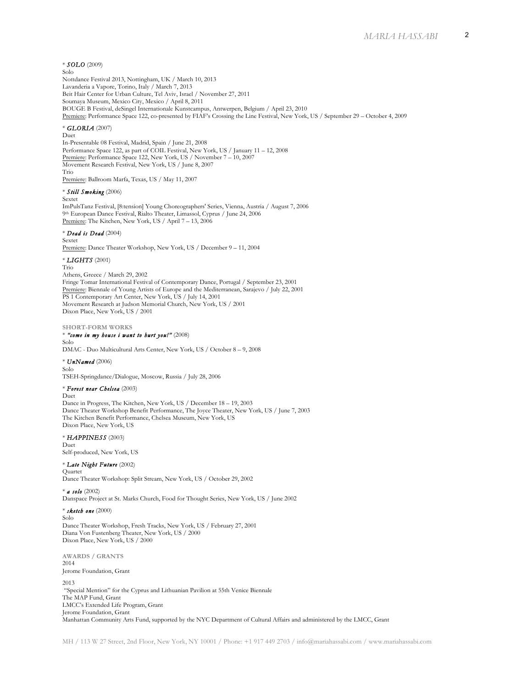## \* *SOLO* (2009)

Solo

Nottdance Festival 2013, Nottingham, UK / March 10, 2013 Lavanderia a Vapore, Torino, Italy / March 7, 2013 Beit Hair Center for Urban Culture, Tel Aviv, Israel / November 27, 2011 Soumaya Museum, Mexico City, Mexico / April 8, 2011 BOUGE B Festival, deSingel Internationale Kunstcampus, Antwerpen, Belgium / April 23, 2010 Premiere: Performance Space 122, co-presented by FIAF's Crossing the Line Festival, New York, US / September 29 – October 4, 2009

## \* *GLORIA* (2007)

Duet

In-Presentable 08 Festival, Madrid, Spain / June 21, 2008 Performance Space 122, as part of COIL Festival, New York, US / January 11 – 12, 2008 Premiere: Performance Space 122, New York, US / November 7 – 10, 2007 Movement Research Festival, New York, US / June 8, 2007 Trio Premiere: Ballroom Marfa, Texas, US / May 11, 2007

# \* *Still Smoking* (2006)

Sextet

ImPulsTanz Festival, [8:tension] Young Choreographers' Series, Vienna, Austria / August 7, 2006 9th European Dance Festival, Rialto Theater, Limassol, Cyprus / June 24, 2006 Premiere: The Kitchen, New York, US / April 7 – 13, 2006

# \* *Dead is Dead* (2004)

Sextet

Premiere: Dance Theater Workshop, New York, US / December 9 - 11, 2004

## \* *LIGHTS* (2001)

Trio

Athens, Greece / March 29, 2002 Fringe Tomar International Festival of Contemporary Dance, Portugal / September 23, 2001 Premiere: Biennale of Young Artists of Europe and the Mediterranean, Sarajevo / July 22, 2001 PS 1 Contemporary Art Center, New York, US / July 14, 2001 Movement Research at Judson Memorial Church, New York, US / 2001 Dixon Place, New York, US / 2001

#### **SHORT-FORM WORKS**

#### \* *"come in my house i want to hurt you!"* (2008) Solo

DMAC - Duo Multicultural Arts Center, New York, US / October 8 – 9, 2008

## \* *UnNamed* (2006)

Solo TSEH-Springdance/Dialogue, Moscow, Russia / July 28, 2006

# \* *Forest near Chelsea* (2003)

Duet

Dance in Progress, The Kitchen, New York, US / December 18 – 19, 2003 Dance Theater Workshop Benefit Performance, The Joyce Theater, New York, US / June 7, 2003 The Kitchen Benefit Performance, Chelsea Museum, New York, US Dixon Place, New York, US

\* *HAPPINESS* (2003) Duet Self-produced, New York, US

### \* *Late Night Future* (2002)

Quartet Dance Theater Workshop: Split Stream, New York, US / October 29, 2002

\* *a solo* (2002) Danspace Project at St. Marks Church, Food for Thought Series, New York, US / June 2002

\* *sketch one* (2000) Solo Dance Theater Workshop, Fresh Tracks, New York, US / February 27, 2001 Diana Von Fustenberg Theater, New York, US / 2000 Dixon Place, New York, US / 2000

**AWARDS / GRANTS**  2014 Jerome Foundation, Grant 2013 "Special Mention" for the Cyprus and Lithuanian Pavilion at 55th Venice Biennale The MAP Fund, Grant LMCC's Extended Life Program, Grant Jerome Foundation, Grant Manhattan Community Arts Fund, supported by the NYC Department of Cultural Affairs and administered by the LMCC, Grant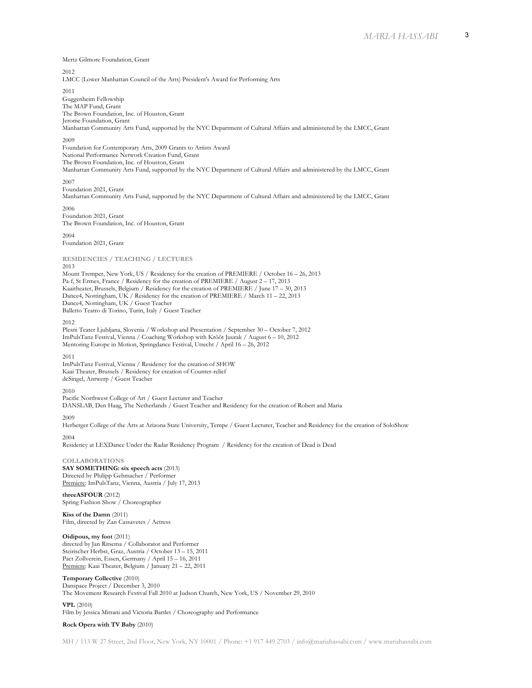Mertz Gilmore Foundation, Grant

2012

LMCC (Lower Manhattan Council of the Arts) President's Award for Performing Arts

2011

Guggenheim Fellowship The MAP Fund, Grant The Brown Foundation, Inc. of Houston, Grant Jerome Foundation, Grant Manhattan Community Arts Fund, supported by the NYC Department of Cultural Affairs and administered by the LMCC, Grant

### 2009

Foundation for Contemporary Arts, 2009 Grants to Artists Award National Performance Network Creation Fund, Grant The Brown Foundation, Inc. of Houston, Grant Manhattan Community Arts Fund, supported by the NYC Department of Cultural Affairs and administered by the LMCC, Grant

### 2007

Foundation 2021, Grant

Manhattan Community Arts Fund, supported by the NYC Department of Cultural Affairs and administered by the LMCC, Grant 2006

Foundation 2021, Grant The Brown Foundation, Inc. of Houston, Grant

2004 Foundation 2021, Grant

**RESIDENCIES / TEACHING / LECTURES**

#### 2013

Mount Tremper, New York, US / Residency for the creation of PREMIERE / October 16 – 26, 2013 Pa-f, St Ermes, France / Residency for the creation of PREMIERE / August 2 – 17, 2013 Kaaitheater, Brussels, Belgium / Residency for the creation of PREMIERE / June 17 – 30, 2013

Dance4, Nottingham, UK / Residency for the creation of PREMIERE / March 11 – 22, 2013

Dance4, Nottingham, UK / Guest Teacher

Balletto Teatro di Torino, Turin, Italy / Guest Teacher

### 2012

Plesni Teater Ljubljana, Slovenia / Workshop and Presentation / September 30 – October 7, 2012 ImPulsTanz Festival, Vienna / Coaching Workshop with Krõõt Juurak / August 6 – 10, 2012 Mentoring Europe in Motion, Springdance Festival, Utrecht / April 16 – 26, 2012

#### 2011

ImPulsTanz Festival, Vienna / Residency for the creation of SHOW Kaai Theater, Brussels / Residency for creation of Counter-relief deSingel, Antwerp / Guest Teacher

#### 2010

Pacific Northwest College of Art / Guest Lecturer and Teacher DANSLAB, Den Haag, The Netherlands / Guest Teacher and Residency for the creation of Robert and Maria

### 2009

Herberger College of the Arts at Arizona State University, Tempe / Guest Lecturer, Teacher and Residency for the creation of SoloShow

2004

Residency at LEXDance Under the Radar Residency Program / Residency for the creation of Dead is Dead

## **COLLABORATIONS**

**SAY SOMETHING: six speech acts** (2013) Directed by Philipp Gehmacher / Performer Premiere: ImPulsTanz, Vienna, Austria / July 17, 2013

**threeASFOUR** (2012) Spring Fashion Show / Choreographer

**Kiss of the Damn** (2011) Film, directed by Zan Cassavetes / Actress

### **Oidipous, my foot** (2011)

directed by Jan Ritsema / Collaborator and Performer Steirischer Herbst, Graz, Austria / October 13 – 15, 2011 Pact Zollverein, Essen, Germany / April 15 – 16, 2011 Premiere: Kaai Theater, Belgium / January 21 – 22, 2011

# **Temporary Collective** (2010)

Danspace Project / December 3, 2010 The Movement Research Festival Fall 2010 at Judson Church, New York, US / November 29, 2010

**VPL** (2010) Film by Jessica Mitrani and Victoria Bartlet / Choreography and Performance

# **Rock Opera with TV Baby** (2010)

MH / 113 W 27 Street, 2nd Floor, New York, NY 10001 / Phone: +1 917 449 2703 / info@mariahassabi.com / www.mariahassabi.com